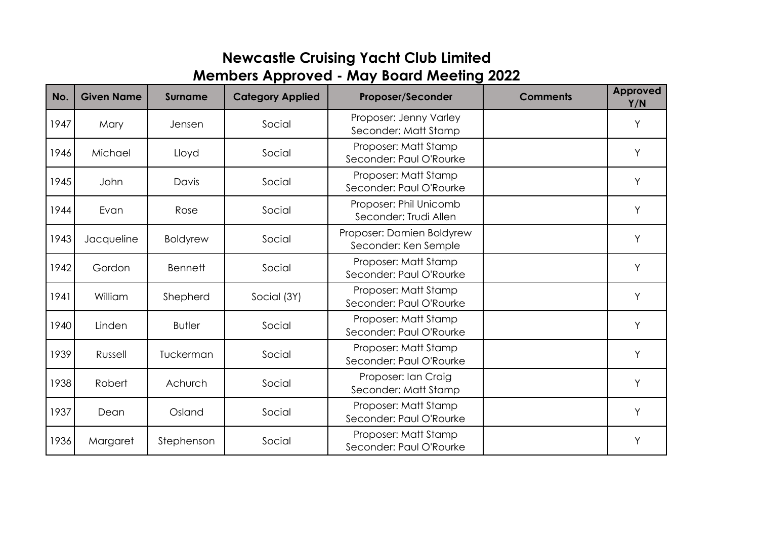## **Members Approved - May Board Meeting 2022 Newcastle Cruising Yacht Club Limited**

| No.  | <b>Given Name</b> | <b>Surname</b>  | <b>Category Applied</b> | <b>Proposer/Seconder</b>                          | <b>Comments</b> | Approved<br>Y/N |
|------|-------------------|-----------------|-------------------------|---------------------------------------------------|-----------------|-----------------|
| 1947 | Mary              | Jensen          | Social                  | Proposer: Jenny Varley<br>Seconder: Matt Stamp    |                 | Y               |
| 1946 | Michael           | Lloyd           | Social                  | Proposer: Matt Stamp<br>Seconder: Paul O'Rourke   |                 | Y               |
| 1945 | John              | Davis           | Social                  | Proposer: Matt Stamp<br>Seconder: Paul O'Rourke   |                 | Y               |
| 1944 | Evan              | Rose            | Social                  | Proposer: Phil Unicomb<br>Seconder: Trudi Allen   |                 | Y               |
| 1943 | Jacqueline        | <b>Boldyrew</b> | Social                  | Proposer: Damien Boldyrew<br>Seconder: Ken Semple |                 | Y               |
| 1942 | Gordon            | <b>Bennett</b>  | Social                  | Proposer: Matt Stamp<br>Seconder: Paul O'Rourke   |                 | Y               |
| 1941 | William           | Shepherd        | Social (3Y)             | Proposer: Matt Stamp<br>Seconder: Paul O'Rourke   |                 | Y               |
| 1940 | Linden            | <b>Butler</b>   | Social                  | Proposer: Matt Stamp<br>Seconder: Paul O'Rourke   |                 | Y               |
| 1939 | Russell           | Tuckerman       | Social                  | Proposer: Matt Stamp<br>Seconder: Paul O'Rourke   |                 | Υ               |
| 1938 | Robert            | Achurch         | Social                  | Proposer: Ian Craig<br>Seconder: Matt Stamp       |                 | Y               |
| 1937 | Dean              | Osland          | Social                  | Proposer: Matt Stamp<br>Seconder: Paul O'Rourke   |                 | Y               |
| 1936 | Margaret          | Stephenson      | Social                  | Proposer: Matt Stamp<br>Seconder: Paul O'Rourke   |                 | Y               |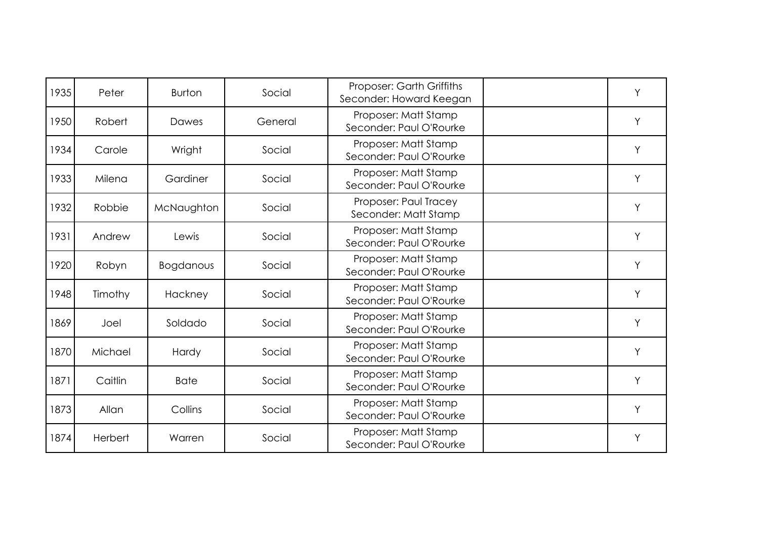| 1935 | Peter   | <b>Burton</b>    | Social  | Proposer: Garth Griffiths<br>Seconder: Howard Keegan | Υ |
|------|---------|------------------|---------|------------------------------------------------------|---|
| 1950 | Robert  | Dawes            | General | Proposer: Matt Stamp<br>Seconder: Paul O'Rourke      | Y |
| 1934 | Carole  | Wright           | Social  | Proposer: Matt Stamp<br>Seconder: Paul O'Rourke      | Υ |
| 1933 | Milena  | Gardiner         | Social  | Proposer: Matt Stamp<br>Seconder: Paul O'Rourke      | Υ |
| 1932 | Robbie  | McNaughton       | Social  | Proposer: Paul Tracey<br>Seconder: Matt Stamp        | Y |
| 1931 | Andrew  | Lewis            | Social  | Proposer: Matt Stamp<br>Seconder: Paul O'Rourke      | Y |
| 1920 | Robyn   | <b>Bogdanous</b> | Social  | Proposer: Matt Stamp<br>Seconder: Paul O'Rourke      | Υ |
| 1948 | Timothy | Hackney          | Social  | Proposer: Matt Stamp<br>Seconder: Paul O'Rourke      | Y |
| 1869 | Joel    | Soldado          | Social  | Proposer: Matt Stamp<br>Seconder: Paul O'Rourke      | Y |
| 1870 | Michael | Hardy            | Social  | Proposer: Matt Stamp<br>Seconder: Paul O'Rourke      | Υ |
| 1871 | Caitlin | <b>Bate</b>      | Social  | Proposer: Matt Stamp<br>Seconder: Paul O'Rourke      | Υ |
| 1873 | Allan   | Collins          | Social  | Proposer: Matt Stamp<br>Seconder: Paul O'Rourke      | Υ |
| 1874 | Herbert | Warren           | Social  | Proposer: Matt Stamp<br>Seconder: Paul O'Rourke      | Y |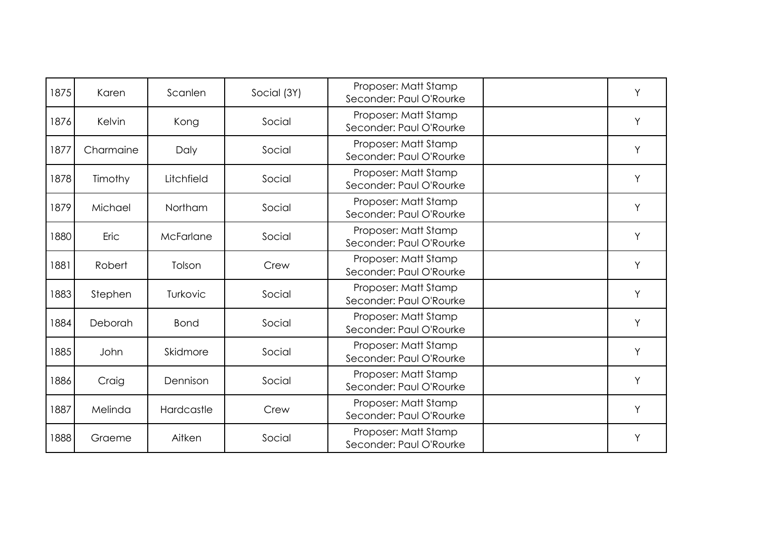| 1875 | Karen     | Scanlen     | Social (3Y) | Proposer: Matt Stamp<br>Seconder: Paul O'Rourke | Υ |
|------|-----------|-------------|-------------|-------------------------------------------------|---|
| 1876 | Kelvin    | Kong        | Social      | Proposer: Matt Stamp<br>Seconder: Paul O'Rourke | Y |
| 1877 | Charmaine | Daly        | Social      | Proposer: Matt Stamp<br>Seconder: Paul O'Rourke | Y |
| 1878 | Timothy   | Litchfield  | Social      | Proposer: Matt Stamp<br>Seconder: Paul O'Rourke | Y |
| 1879 | Michael   | Northam     | Social      | Proposer: Matt Stamp<br>Seconder: Paul O'Rourke | Y |
| 1880 | Eric      | McFarlane   | Social      | Proposer: Matt Stamp<br>Seconder: Paul O'Rourke | Υ |
| 1881 | Robert    | Tolson      | Crew        | Proposer: Matt Stamp<br>Seconder: Paul O'Rourke | Y |
| 1883 | Stephen   | Turkovic    | Social      | Proposer: Matt Stamp<br>Seconder: Paul O'Rourke | Y |
| 1884 | Deborah   | <b>Bond</b> | Social      | Proposer: Matt Stamp<br>Seconder: Paul O'Rourke | Y |
| 1885 | John      | Skidmore    | Social      | Proposer: Matt Stamp<br>Seconder: Paul O'Rourke | Y |
| 1886 | Craig     | Dennison    | Social      | Proposer: Matt Stamp<br>Seconder: Paul O'Rourke | Υ |
| 1887 | Melinda   | Hardcastle  | Crew        | Proposer: Matt Stamp<br>Seconder: Paul O'Rourke | Y |
| 1888 | Graeme    | Aitken      | Social      | Proposer: Matt Stamp<br>Seconder: Paul O'Rourke | Y |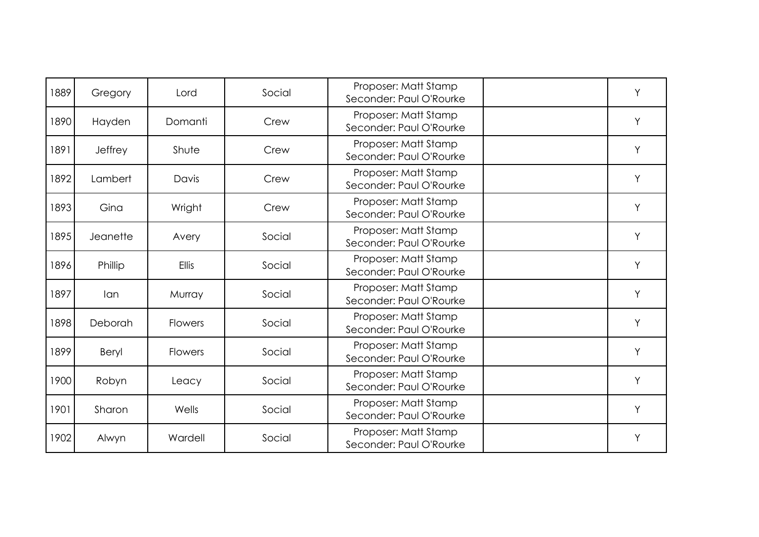| 1889 | Gregory  | Lord           | Social | Proposer: Matt Stamp<br>Seconder: Paul O'Rourke | Υ |
|------|----------|----------------|--------|-------------------------------------------------|---|
| 1890 | Hayden   | Domanti        | Crew   | Proposer: Matt Stamp<br>Seconder: Paul O'Rourke | Y |
| 1891 | Jeffrey  | Shute          | Crew   | Proposer: Matt Stamp<br>Seconder: Paul O'Rourke | Y |
| 1892 | Lambert  | Davis          | Crew   | Proposer: Matt Stamp<br>Seconder: Paul O'Rourke | Y |
| 1893 | Gina     | Wright         | Crew   | Proposer: Matt Stamp<br>Seconder: Paul O'Rourke | Y |
| 1895 | Jeanette | Avery          | Social | Proposer: Matt Stamp<br>Seconder: Paul O'Rourke | Y |
| 1896 | Phillip  | <b>Ellis</b>   | Social | Proposer: Matt Stamp<br>Seconder: Paul O'Rourke | Y |
| 1897 | lan      | Murray         | Social | Proposer: Matt Stamp<br>Seconder: Paul O'Rourke | Y |
| 1898 | Deborah  | Flowers        | Social | Proposer: Matt Stamp<br>Seconder: Paul O'Rourke | Y |
| 1899 | Beryl    | <b>Flowers</b> | Social | Proposer: Matt Stamp<br>Seconder: Paul O'Rourke | Y |
| 1900 | Robyn    | Leacy          | Social | Proposer: Matt Stamp<br>Seconder: Paul O'Rourke | Y |
| 1901 | Sharon   | Wells          | Social | Proposer: Matt Stamp<br>Seconder: Paul O'Rourke | Y |
| 1902 | Alwyn    | Wardell        | Social | Proposer: Matt Stamp<br>Seconder: Paul O'Rourke | Y |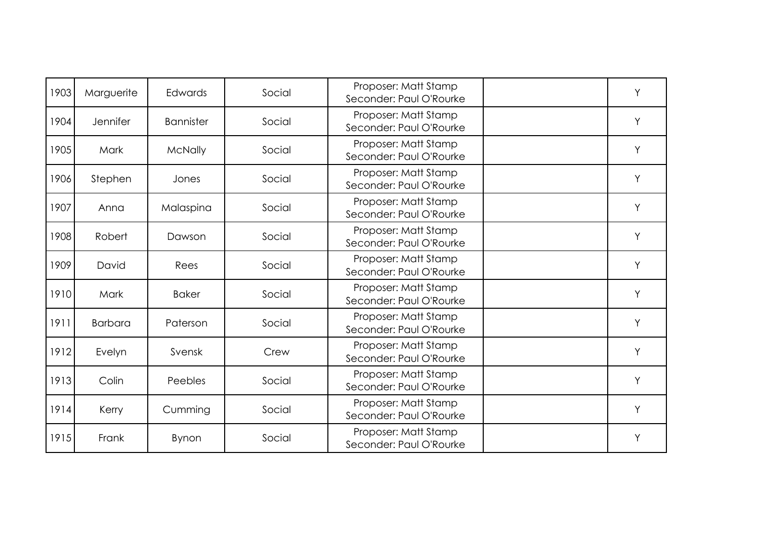| 1903 | Marguerite     | Edwards          | Social | Proposer: Matt Stamp<br>Seconder: Paul O'Rourke | Υ |
|------|----------------|------------------|--------|-------------------------------------------------|---|
| 1904 | Jennifer       | <b>Bannister</b> | Social | Proposer: Matt Stamp<br>Seconder: Paul O'Rourke | Y |
| 1905 | Mark           | <b>McNally</b>   | Social | Proposer: Matt Stamp<br>Seconder: Paul O'Rourke | Y |
| 1906 | Stephen        | Jones            | Social | Proposer: Matt Stamp<br>Seconder: Paul O'Rourke | Y |
| 1907 | Anna           | Malaspina        | Social | Proposer: Matt Stamp<br>Seconder: Paul O'Rourke | Y |
| 1908 | Robert         | Dawson           | Social | Proposer: Matt Stamp<br>Seconder: Paul O'Rourke | Y |
| 1909 | David          | Rees             | Social | Proposer: Matt Stamp<br>Seconder: Paul O'Rourke | Y |
| 1910 | Mark           | <b>Baker</b>     | Social | Proposer: Matt Stamp<br>Seconder: Paul O'Rourke | Y |
| 1911 | <b>Barbara</b> | Paterson         | Social | Proposer: Matt Stamp<br>Seconder: Paul O'Rourke | Y |
| 1912 | Evelyn         | Svensk           | Crew   | Proposer: Matt Stamp<br>Seconder: Paul O'Rourke | Y |
| 1913 | Colin          | Peebles          | Social | Proposer: Matt Stamp<br>Seconder: Paul O'Rourke | Y |
| 1914 | Kerry          | Cumming          | Social | Proposer: Matt Stamp<br>Seconder: Paul O'Rourke | Y |
| 1915 | Frank          | Bynon            | Social | Proposer: Matt Stamp<br>Seconder: Paul O'Rourke | Y |